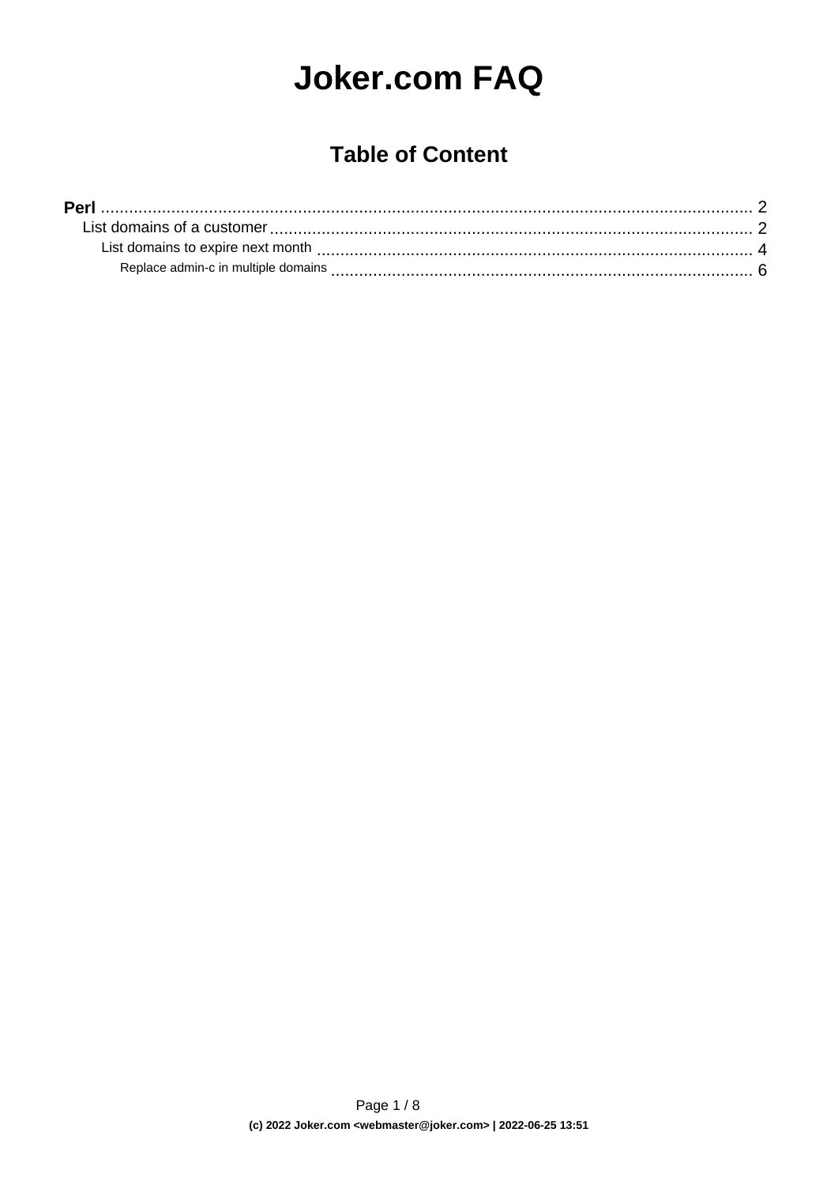# **Joker.com FAQ**

## **Table of Content**

| <b>Perl</b>                         |  |  |
|-------------------------------------|--|--|
|                                     |  |  |
|                                     |  |  |
| Replace admin-c in multiple domains |  |  |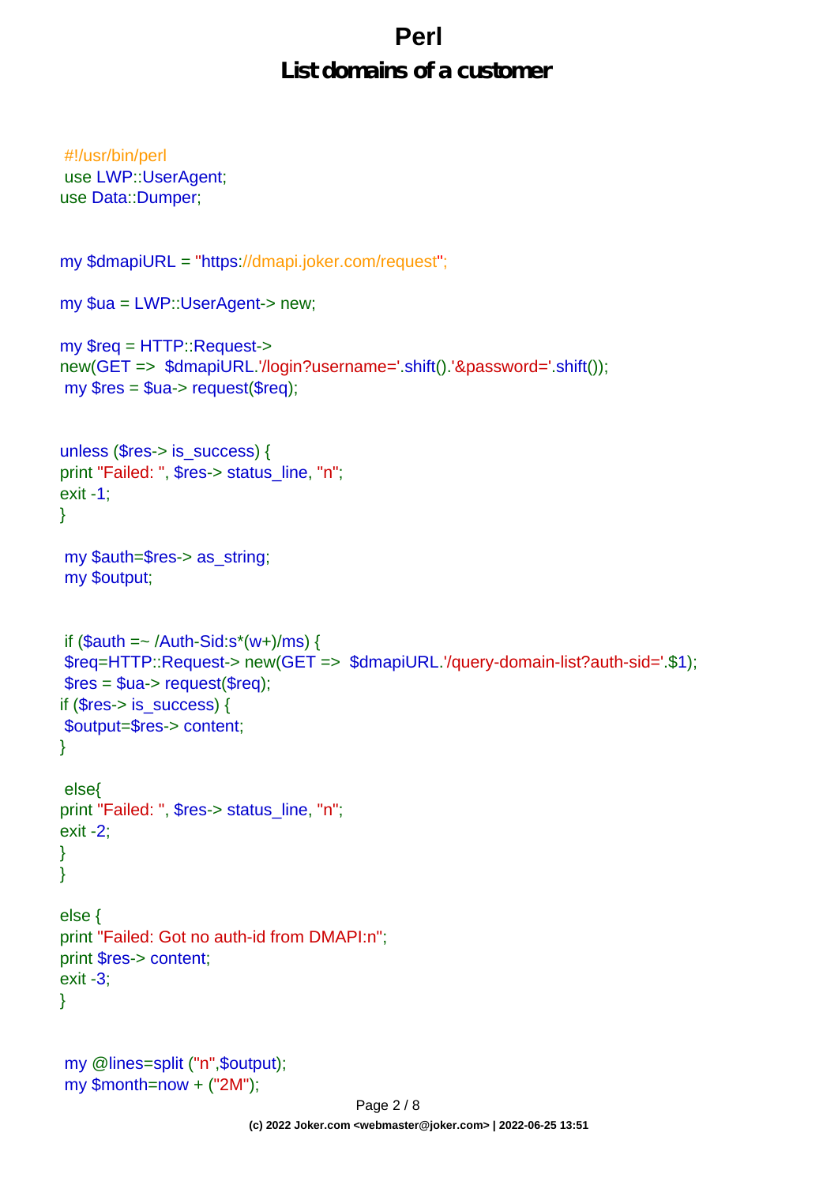#### **List domains of a customer**

```
#!/usr/bin/perl
use LWP::UserAgent;
use Data::Dumper;
my $dmapiURL = "https://dmapi.joker.com/request";
my $ua = LWP::UserAgent-> new;
my $req = HTTP::Request->
new(GET => $dmapiURL.'/login?username='.shift().'&password='.shift());
my $res = $ua-> request($req);
unless ($res-> is_success) {
print "Failed: ", $res-> status_line, "n";
exit -1;
}
my $auth=$res-> as_string;
my $output;
if (Sauth = \sim /Author-Sid:s^*(w+)/ms) {
$req=HTTP::Request-> new(GET => $dmapiURL.'/query-domain-list?auth-sid='.$1);
$res = $ua->request($req);if ($res-> is {}success) {
$output=$res-> content;
}
 else{
print "Failed: ", $res-> status_line, "n";
exit -2;
}
}
else {
print "Failed: Got no auth-id from DMAPI:n";
print $res-> content;
exit -3;
}
my @lines=split ("n",$output);
my $month=now + ("2M");
```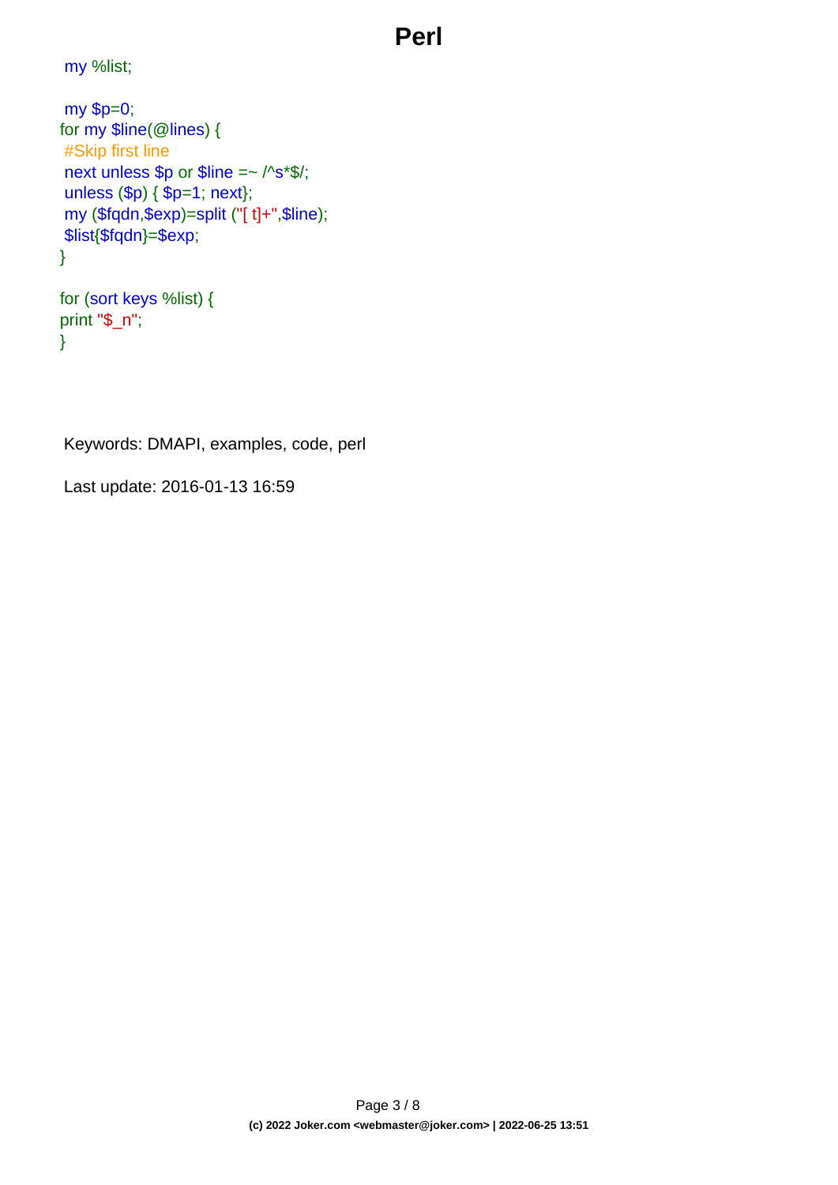my %list;

```
my $p=0;
for my $line(@lines) {
#Skip first line
next unless $p or $line =~ /^s*$/;
unless ($p) { $p=1; next};
my ($fqdn,$exp)=split ("[ t]+",$line);
$list{$fqdn}=$exp;
}
```

```
for (sort keys %list) {
print "$_n";
}
```
Keywords: DMAPI, examples, code, perl

Last update: 2016-01-13 16:59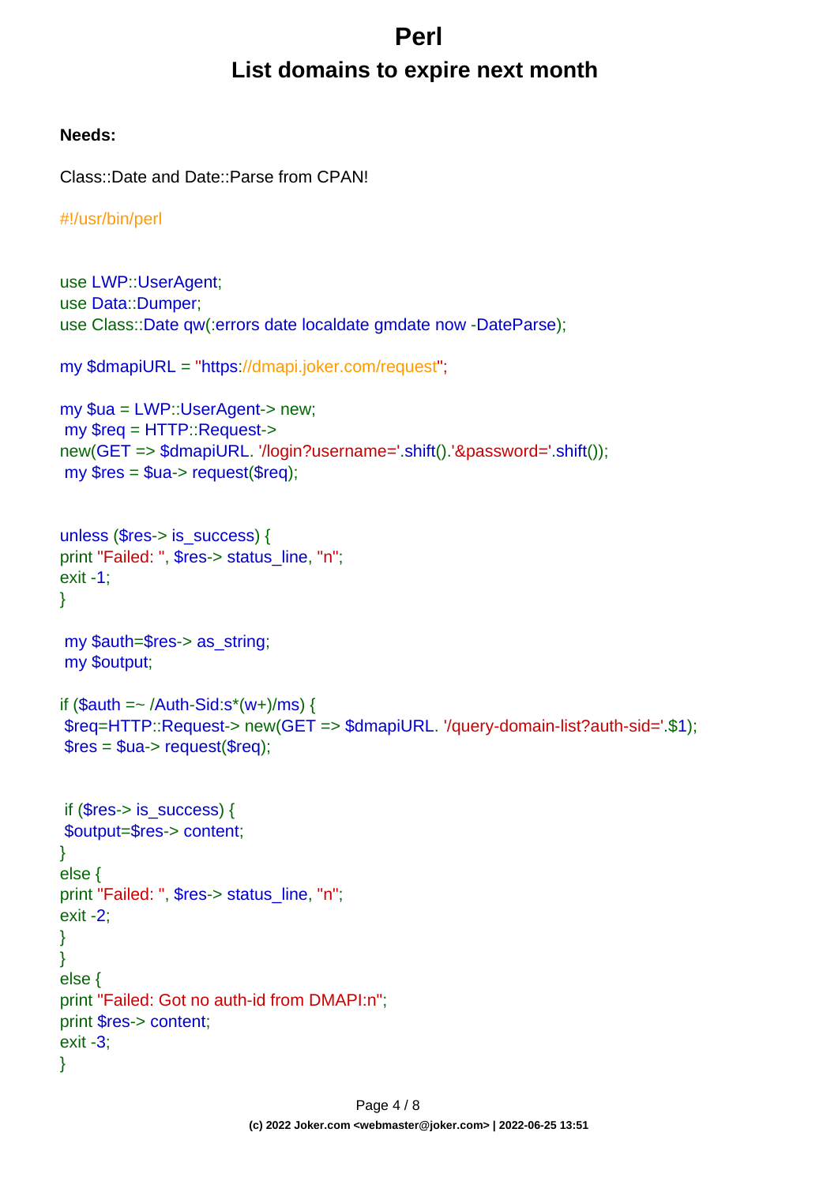## **Perl List domains to expire next month**

#### <span id="page-3-0"></span>**Needs:**

```
Class::Date and Date::Parse from CPAN!
```

```
#!/usr/bin/perl
```

```
use LWP::UserAgent;
use Data::Dumper;
use Class::Date qw(:errors date localdate gmdate now -DateParse);
my $dmapiURL = "https://dmapi.joker.com/request";
my $ua = LWP::UserAgent-> new;
my $req = HTTP::Request->
new(GET => $dmapiURL. '/login?username='.shift().'&password='.shift());
my Sres = Sua - z request(Sreq);
unless ($res-> is_success) {
print "Failed: ", $res-> status_line, "n";
exit -1;
}
my $auth=$res-> as_string;
my $output;
if $auth = \sim /Auth-Sid:s^*(w+)/ms) {
$req=HTTP::Request-> new(GET => $dmapiURL. '/query-domain-list?auth-sid='.$1);
$res = $ua->request($rea): if ($res-> is_success) {
$output=$res-> content;
}
else {
print "Failed: ", $res-> status_line, "n";
exit -2;
}
}
else {
print "Failed: Got no auth-id from DMAPI:n";
print $res-> content;
exit -3;
}
```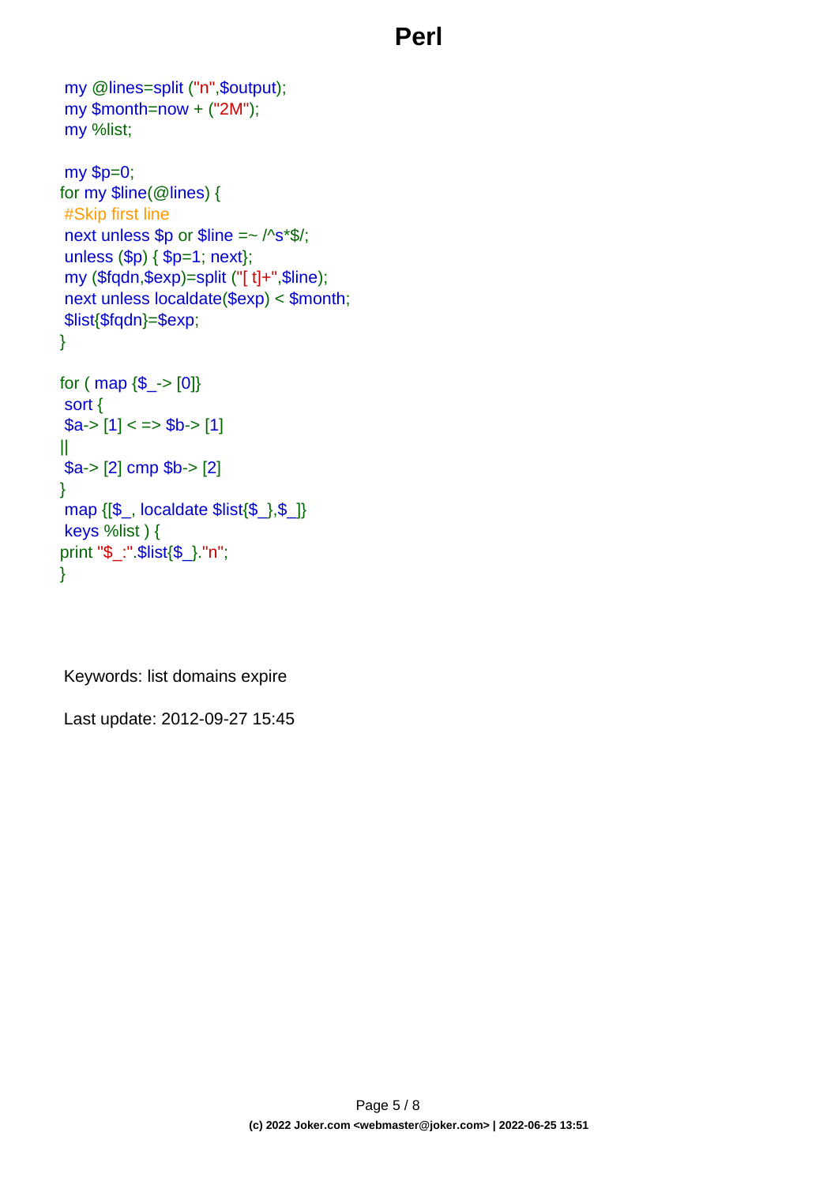```
my @lines=split ("n",$output);
my $month=now + ("2M");
my %list;
my $p=0;
for my $line(@lines) {
#Skip first line
next unless $p or $line =~ /^s*$/;
unless ($p) { $p=1; next};
my ($fqdn,$exp)=split ("[ t]+",$line);
next unless localdate($exp) < $month;
$list{$fqdn}=$exp;
}
for ( map \{\$<sub>-</sub>>[0]\}sort {
a > [1] < \Rightarrow $b-> [1]
||
$a-> [2] cmp $b-> [2]
}
map {[$_, localdate $list{$_},$_]}
keys %list ) {
print "$_:".$list{$_}."n";
}
```
Keywords: list domains expire

Last update: 2012-09-27 15:45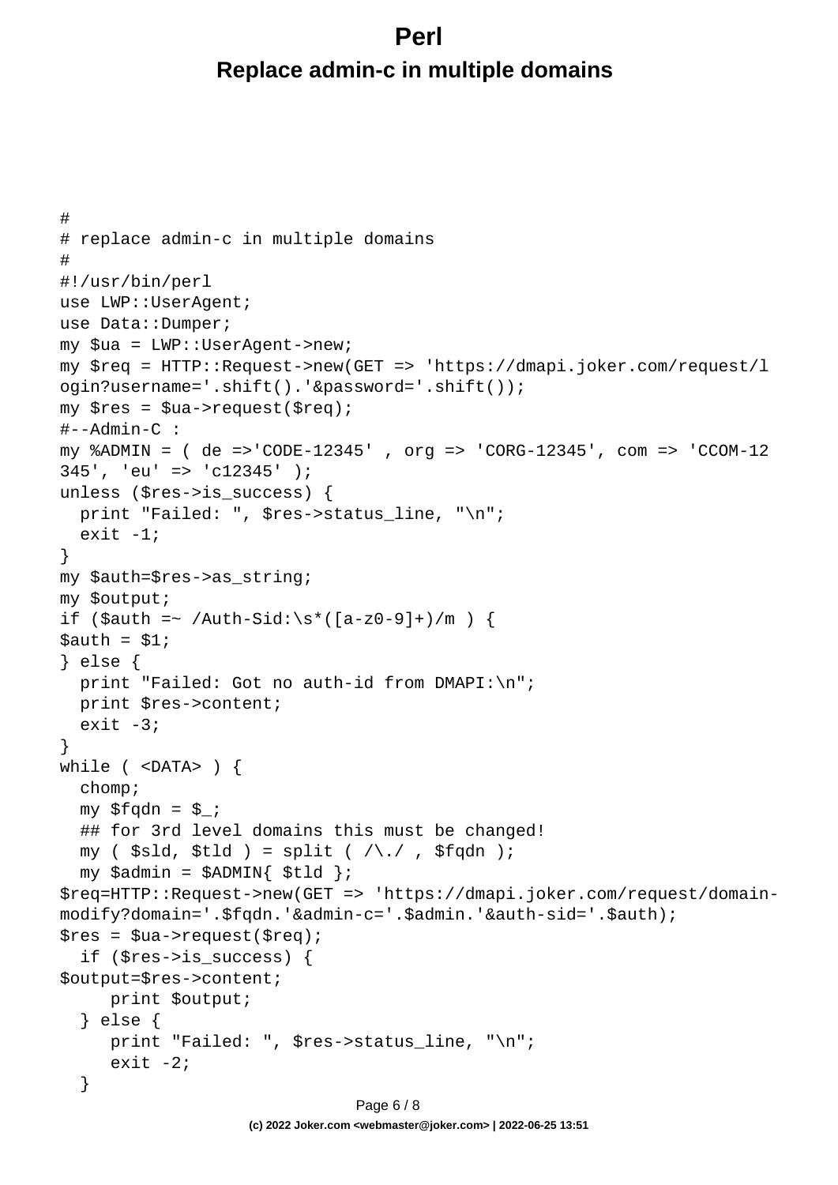## <span id="page-5-0"></span>**Perl Replace admin-c in multiple domains**

```
#
# replace admin-c in multiple domains
#
#!/usr/bin/perl
use LWP::UserAgent;
use Data::Dumper;
my $ua = LWP::UserAgent->new;
my $req = HTTP::Request->new(GET => 'https://dmapi.joker.com/request/l
ogin?username='.shift().'&password='.shift());
my $res = $ua->request($req);
#--Admin-C :
my %ADMIN = ( de =>'CODE-12345' , org => 'CORG-12345', com => 'CCOM-12
345', 'eu' => 'c12345' );
unless ($res->is_success) {
  print "Failed: ", $res->status_line, "\n";
  exit -1;
}
my $auth=$res->as_string;
my $output;
if ($auth =~ /Auth-Sid:\s*([a-z0-9]+)/m) {
Sauth = S1;} else {
 print "Failed: Got no auth-id from DMAPI:\n";
   print $res->content;
  exit -3;
}
while ( <DATA> ) {
   chomp;
  my $fqdn = $;
   ## for 3rd level domains this must be changed!
  my ( $sld, $tld ) = split ( /\backslash . / , $fqdn );
  my $admin = $ADMIN{ $tld };
$req=HTTP::Request->new(GET => 'https://dmapi.joker.com/request/domain-
modify?domain='.$fqdn.'&admin-c='.$admin.'&auth-sid='.$auth);
$res = $ua->request ($req); if ($res->is_success) {
$output=$res->content;
      print $output;
   } else {
      print "Failed: ", $res->status_line, "\n";
     exit -2i }
                              Page 6 / 8
```
**(c) 2022 Joker.com <webmaster@joker.com> | 2022-06-25 13:51**